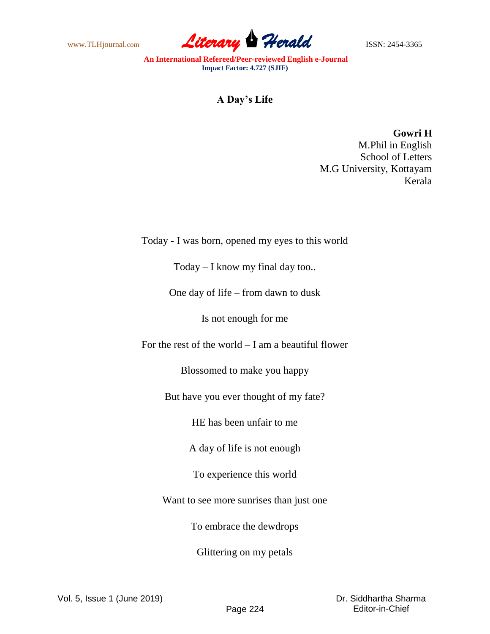www.TLHjournal.com **Literary Perald ISSN: 2454-3365** 

**An International Refereed/Peer-reviewed English e-Journal Impact Factor: 4.727 (SJIF)**

## **A Day's Life**

**Gowri H** M.Phil in English School of Letters M.G University, Kottayam Kerala

## Today - I was born, opened my eyes to this world

Today – I know my final day too..

One day of life – from dawn to dusk

Is not enough for me

For the rest of the world  $-$  I am a beautiful flower

Blossomed to make you happy

But have you ever thought of my fate?

HE has been unfair to me

A day of life is not enough

To experience this world

Want to see more sunrises than just one

To embrace the dewdrops

Glittering on my petals

Vol. 5, Issue 1 (June 2019)

 Dr. Siddhartha Sharma Editor-in-Chief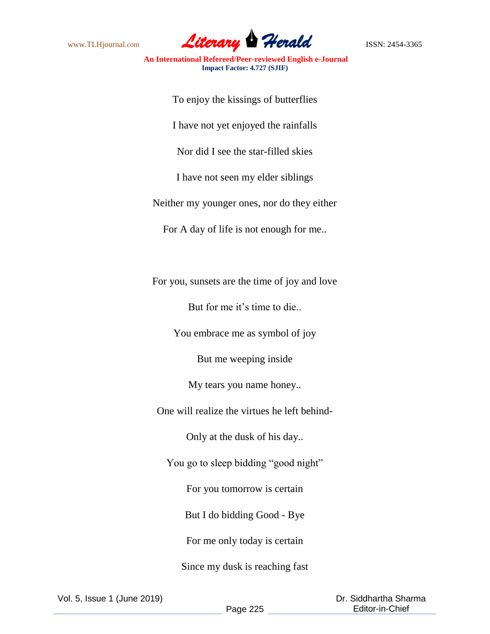

**An International Refereed/Peer-reviewed English e-Journal Impact Factor: 4.727 (SJIF)**

To enjoy the kissings of butterflies I have not yet enjoyed the rainfalls Nor did I see the star-filled skies I have not seen my elder siblings Neither my younger ones, nor do they either For A day of life is not enough for me..

For you, sunsets are the time of joy and love

But for me it's time to die..

You embrace me as symbol of joy

But me weeping inside

My tears you name honey..

One will realize the virtues he left behind-

Only at the dusk of his day..

You go to sleep bidding "good night"

For you tomorrow is certain

But I do bidding Good - Bye

For me only today is certain

Since my dusk is reaching fast

Vol. 5, Issue 1 (June 2019)

 Dr. Siddhartha Sharma Editor-in-Chief